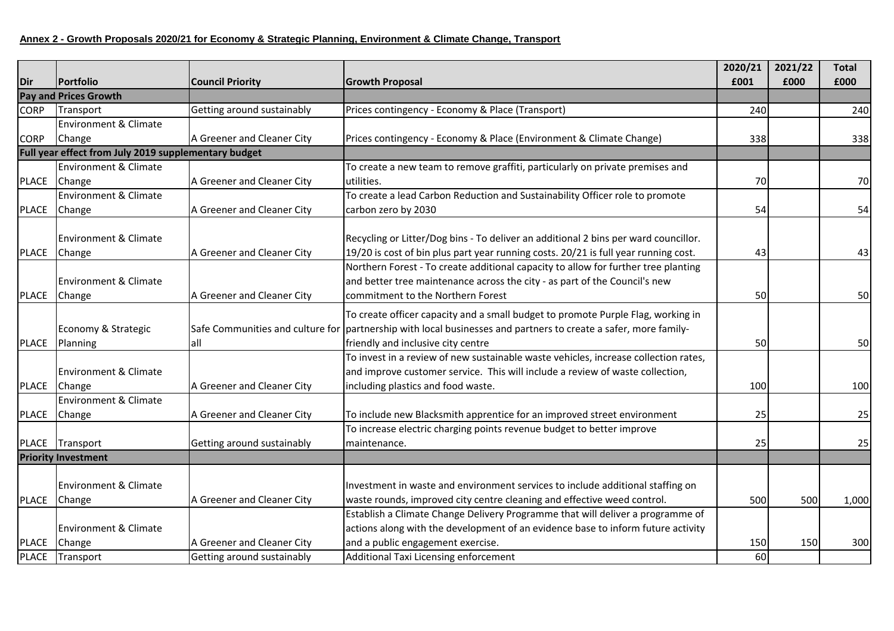## **Annex 2 - Growth Proposals 2020/21 for Economy & Strategic Planning, Environment & Climate Change, Transport**

|              |                                                      |                            |                                                                                                                 | 2020/21 | 2021/22 | <b>Total</b> |
|--------------|------------------------------------------------------|----------------------------|-----------------------------------------------------------------------------------------------------------------|---------|---------|--------------|
| Dir          | Portfolio                                            | <b>Council Priority</b>    | <b>Growth Proposal</b>                                                                                          | £001    | £000    | £000         |
|              | <b>Pay and Prices Growth</b>                         |                            |                                                                                                                 |         |         |              |
| <b>CORP</b>  | Transport                                            | Getting around sustainably | Prices contingency - Economy & Place (Transport)                                                                | 240     |         | 240          |
|              | Environment & Climate                                |                            |                                                                                                                 |         |         |              |
| <b>CORP</b>  | Change                                               | A Greener and Cleaner City | Prices contingency - Economy & Place (Environment & Climate Change)                                             | 338     |         | 338          |
|              | Full year effect from July 2019 supplementary budget |                            |                                                                                                                 |         |         |              |
|              | Environment & Climate                                |                            | To create a new team to remove graffiti, particularly on private premises and                                   |         |         |              |
| <b>PLACE</b> | Change                                               | A Greener and Cleaner City | utilities.                                                                                                      | 70      |         | 70           |
|              | <b>Environment &amp; Climate</b>                     |                            | To create a lead Carbon Reduction and Sustainability Officer role to promote                                    |         |         |              |
| PLACE        | Change                                               | A Greener and Cleaner City | carbon zero by 2030                                                                                             | 54      |         | 54           |
|              |                                                      |                            |                                                                                                                 |         |         |              |
|              | <b>Environment &amp; Climate</b>                     |                            | Recycling or Litter/Dog bins - To deliver an additional 2 bins per ward councillor.                             |         |         |              |
| <b>PLACE</b> | Change                                               | A Greener and Cleaner City | 19/20 is cost of bin plus part year running costs. 20/21 is full year running cost.                             | 43      |         | 43           |
|              |                                                      |                            | Northern Forest - To create additional capacity to allow for further tree planting                              |         |         |              |
|              | <b>Environment &amp; Climate</b>                     |                            | and better tree maintenance across the city - as part of the Council's new                                      |         |         |              |
| <b>PLACE</b> | Change                                               | A Greener and Cleaner City | commitment to the Northern Forest                                                                               | 50      |         | 50           |
|              |                                                      |                            | To create officer capacity and a small budget to promote Purple Flag, working in                                |         |         |              |
|              | Economy & Strategic                                  |                            | Safe Communities and culture for partnership with local businesses and partners to create a safer, more family- |         |         |              |
| <b>PLACE</b> | Planning                                             | all                        | friendly and inclusive city centre                                                                              | 50      |         | 50           |
|              |                                                      |                            | To invest in a review of new sustainable waste vehicles, increase collection rates,                             |         |         |              |
|              | <b>Environment &amp; Climate</b>                     |                            | and improve customer service. This will include a review of waste collection,                                   |         |         |              |
| PLACE        | Change                                               | A Greener and Cleaner City | including plastics and food waste.                                                                              | 100     |         | 100          |
|              | <b>Environment &amp; Climate</b>                     |                            |                                                                                                                 |         |         |              |
| <b>PLACE</b> | Change                                               | A Greener and Cleaner City | To include new Blacksmith apprentice for an improved street environment                                         | 25      |         | 25           |
|              |                                                      |                            | To increase electric charging points revenue budget to better improve                                           |         |         |              |
| <b>PLACE</b> | Transport                                            | Getting around sustainably | maintenance.                                                                                                    | 25      |         | 25           |
|              | <b>Priority Investment</b>                           |                            |                                                                                                                 |         |         |              |
|              |                                                      |                            |                                                                                                                 |         |         |              |
|              | <b>Environment &amp; Climate</b>                     |                            | Investment in waste and environment services to include additional staffing on                                  |         |         |              |
|              | PLACE Change                                         | A Greener and Cleaner City | waste rounds, improved city centre cleaning and effective weed control.                                         | 500     | 500     | 1,000        |
|              |                                                      |                            | Establish a Climate Change Delivery Programme that will deliver a programme of                                  |         |         |              |
|              | <b>Environment &amp; Climate</b>                     |                            | actions along with the development of an evidence base to inform future activity                                |         |         |              |
| <b>PLACE</b> | Change                                               | A Greener and Cleaner City | and a public engagement exercise.                                                                               | 150     | 150     | 300          |
|              | PLACE Transport                                      | Getting around sustainably | Additional Taxi Licensing enforcement                                                                           | 60      |         |              |